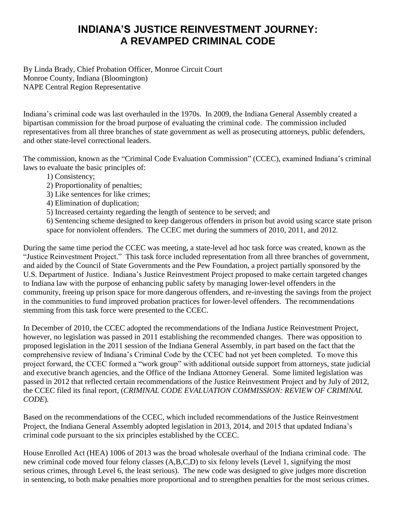## **INDIANA'S JUSTICE REINVESTMENT JOURNEY: A REVAMPED CRIMINAL CODE**

By Linda Brady, Chief Probation Officer, Monroe Circuit Court Monroe County, Indiana (Bloomington) NAPE Central Region Representative

Indiana's criminal code was last overhauled in the 1970s. In 2009, the Indiana General Assembly created a bipartisan commission for the broad purpose of evaluating the criminal code. The commission included representatives from all three branches of state government as well as prosecuting attorneys, public defenders, and other state-level correctional leaders.

The commission, known as the "Criminal Code Evaluation Commission" (CCEC), examined Indiana's criminal laws to evaluate the basic principles of:

- 1) Consistency;
- 2) Proportionality of penalties;
- 3) Like sentences for like crimes;
- 4) Elimination of duplication;
- 5) Increased certainty regarding the length of sentence to be served; and

6) Sentencing scheme designed to keep dangerous offenders in prison but avoid using scarce state prison space for nonviolent offenders. The CCEC met during the summers of 2010, 2011, and 2012.

During the same time period the CCEC was meeting, a state-level ad hoc task force was created, known as the "Justice Reinvestment Project." This task force included representation from all three branches of government, and aided by the Council of State Governments and the Pew Foundation, a project partially sponsored by the U.S. Department of Justice. Indiana's Justice Reinvestment Project proposed to make certain targeted changes to Indiana law with the purpose of enhancing public safety by managing lower-level offenders in the community, freeing up prison space for more dangerous offenders, and re-investing the savings from the project in the communities to fund improved probation practices for lower-level offenders. The recommendations stemming from this task force were presented to the CCEC.

In December of 2010, the CCEC adopted the recommendations of the Indiana Justice Reinvestment Project, however, no legislation was passed in 2011 establishing the recommended changes. There was opposition to proposed legislation in the 2011 session of the Indiana General Assembly, in part based on the fact that the comprehensive review of Indiana's Criminal Code by the CCEC had not yet been completed. To move this project forward, the CCEC formed a "work group" with additional outside support from attorneys, state judicial and executive branch agencies, and the Office of the Indiana Attorney General. Some limited legislation was passed in 2012 that reflected certain recommendations of the Justice Reinvestment Project and by July of 2012, the CCEC filed its final report, (*CRIMINAL CODE EVALUATION COMMISSION: REVIEW OF CRIMINAL CODE*)*.* 

Based on the recommendations of the CCEC, which included recommendations of the Justice Reinvestment Project, the Indiana General Assembly adopted legislation in 2013, 2014, and 2015 that updated Indiana's criminal code pursuant to the six principles established by the CCEC.

House Enrolled Act (HEA) 1006 of 2013 was the broad wholesale overhaul of the Indiana criminal code. The new criminal code moved four felony classes (A,B,C,D) to six felony levels (Level 1, signifying the most serious crimes, through Level 6, the least serious). The new code was designed to give judges more discretion in sentencing, to both make penalties more proportional and to strengthen penalties for the most serious crimes.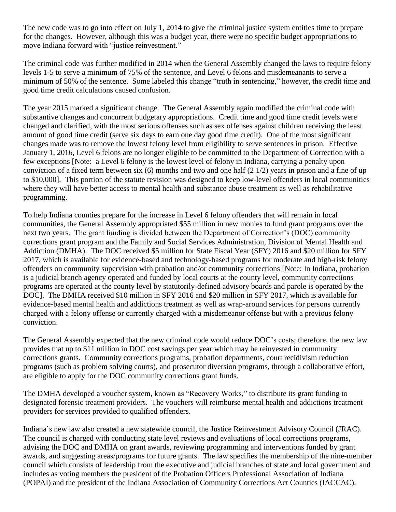The new code was to go into effect on July 1, 2014 to give the criminal justice system entities time to prepare for the changes. However, although this was a budget year, there were no specific budget appropriations to move Indiana forward with "justice reinvestment."

The criminal code was further modified in 2014 when the General Assembly changed the laws to require felony levels 1-5 to serve a minimum of 75% of the sentence, and Level 6 felons and misdemeanants to serve a minimum of 50% of the sentence. Some labeled this change "truth in sentencing," however, the credit time and good time credit calculations caused confusion.

The year 2015 marked a significant change. The General Assembly again modified the criminal code with substantive changes and concurrent budgetary appropriations. Credit time and good time credit levels were changed and clarified, with the most serious offenses such as sex offenses against children receiving the least amount of good time credit (serve six days to earn one day good time credit). One of the most significant changes made was to remove the lowest felony level from eligibility to serve sentences in prison. Effective January 1, 2016, Level 6 felons are no longer eligible to be committed to the Department of Correction with a few exceptions [Note: a Level 6 felony is the lowest level of felony in Indiana, carrying a penalty upon conviction of a fixed term between six (6) months and two and one half (2 1/2) years in prison and a fine of up to \$10,000]. This portion of the statute revision was designed to keep low-level offenders in local communities where they will have better access to mental health and substance abuse treatment as well as rehabilitative programming.

To help Indiana counties prepare for the increase in Level 6 felony offenders that will remain in local communities, the General Assembly appropriated \$55 million in new monies to fund grant programs over the next two years. The grant funding is divided between the Department of Correction's (DOC) community corrections grant program and the Family and Social Services Administration, Division of Mental Health and Addiction (DMHA). The DOC received \$5 million for State Fiscal Year (SFY) 2016 and \$20 million for SFY 2017, which is available for evidence-based and technology-based programs for moderate and high-risk felony offenders on community supervision with probation and/or community corrections [Note: In Indiana, probation is a judicial branch agency operated and funded by local courts at the county level, community corrections programs are operated at the county level by statutorily-defined advisory boards and parole is operated by the DOC]. The DMHA received \$10 million in SFY 2016 and \$20 million in SFY 2017, which is available for evidence-based mental health and addictions treatment as well as wrap-around services for persons currently charged with a felony offense or currently charged with a misdemeanor offense but with a previous felony conviction.

The General Assembly expected that the new criminal code would reduce DOC's costs; therefore, the new law provides that up to \$11 million in DOC cost savings per year which may be reinvested in community corrections grants. Community corrections programs, probation departments, court recidivism reduction programs (such as problem solving courts), and prosecutor diversion programs, through a collaborative effort, are eligible to apply for the DOC community corrections grant funds.

The DMHA developed a voucher system, known as "Recovery Works," to distribute its grant funding to designated forensic treatment providers. The vouchers will reimburse mental health and addictions treatment providers for services provided to qualified offenders.

Indiana's new law also created a new statewide council, the Justice Reinvestment Advisory Council (JRAC). The council is charged with conducting state level reviews and evaluations of local corrections programs, advising the DOC and DMHA on grant awards, reviewing programming and interventions funded by grant awards, and suggesting areas/programs for future grants. The law specifies the membership of the nine-member council which consists of leadership from the executive and judicial branches of state and local government and includes as voting members the president of the Probation Officers Professional Association of Indiana (POPAI) and the president of the Indiana Association of Community Corrections Act Counties (IACCAC).